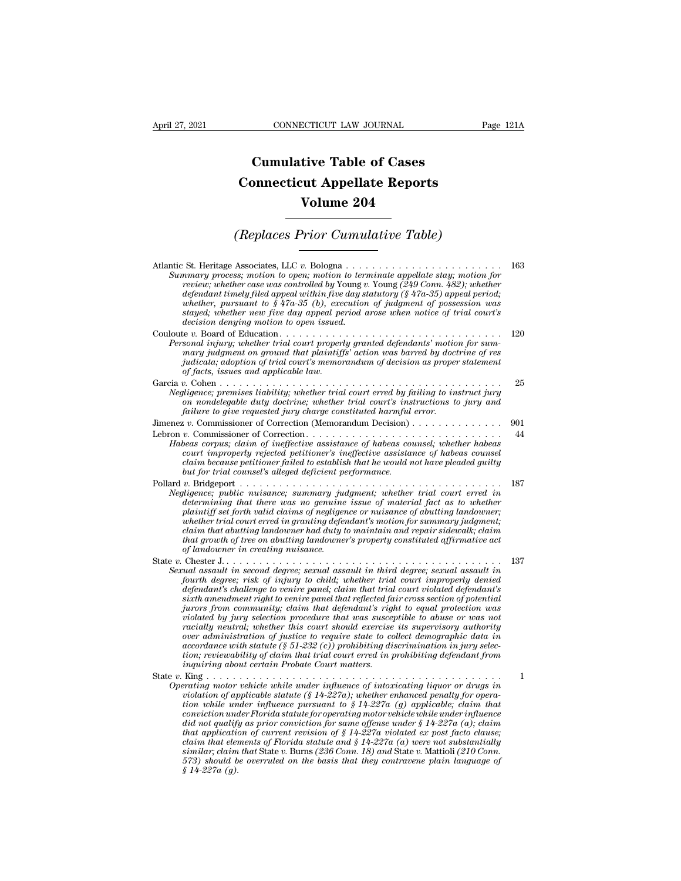## **CONNECTICUT LAW JOURNAL**<br> **Cumulative Table of Cases<br>
pnnecticut Appellate Reports CONNECTICUT LAW JOURNAL** Pag<br> **Cumulative Table of Cases**<br> **Connecticut Appellate Reports<br>
Volume 204 CONNECTICUT LAW JOURNAL**<br> **Cumulative Table of Cases<br>
Connecticut Appellate Reports<br>
Volume 204 Cumulative Table of Cases<br>
Connecticut Appellate Reports<br>
Volume 204<br>
(Replaces Prior Cumulative Table)**<br>
Associates LLC **Replaces**

| Volume 204                                                                                                                                                                                                                                                                                                                                                                                                                                                                                                                                                                                                                                                                                                                                                                                                                                                                                                                  |     |
|-----------------------------------------------------------------------------------------------------------------------------------------------------------------------------------------------------------------------------------------------------------------------------------------------------------------------------------------------------------------------------------------------------------------------------------------------------------------------------------------------------------------------------------------------------------------------------------------------------------------------------------------------------------------------------------------------------------------------------------------------------------------------------------------------------------------------------------------------------------------------------------------------------------------------------|-----|
| (Replaces Prior Cumulative Table)                                                                                                                                                                                                                                                                                                                                                                                                                                                                                                                                                                                                                                                                                                                                                                                                                                                                                           |     |
| Summary process; motion to open; motion to terminate appellate stay; motion for<br>review; whether case was controlled by Young v. Young (249 Conn. 482); whether<br>defendant timely filed appeal within five day statutory ( $\S$ 47a-35) appeal period;<br>whether, pursuant to $$47a-35$ (b), execution of judgment of possession was<br>stayed; whether new five day appeal period arose when notice of trial court's<br>decision denying motion to open issued.                                                                                                                                                                                                                                                                                                                                                                                                                                                       | 163 |
| Personal injury; whether trial court properly granted defendants' motion for sum-<br>mary judgment on ground that plaintiffs' action was barred by doctrine of res<br>judicata; adoption of trial court's memorandum of decision as proper statement<br>of facts, issues and applicable law.                                                                                                                                                                                                                                                                                                                                                                                                                                                                                                                                                                                                                                | 120 |
| Garcia v. Cohen<br>.<br>Negligence; premises liability; whether trial court erred by failing to instruct jury<br>on nondelegable duty doctrine; whether trial court's instructions to jury and<br>failure to give requested jury charge constituted harmful error.                                                                                                                                                                                                                                                                                                                                                                                                                                                                                                                                                                                                                                                          | 25  |
|                                                                                                                                                                                                                                                                                                                                                                                                                                                                                                                                                                                                                                                                                                                                                                                                                                                                                                                             | 901 |
| Habeas corpus; claim of ineffective assistance of habeas counsel; whether habeas<br>court improperly rejected petitioner's ineffective assistance of habeas counsel<br>claim because petitioner failed to establish that he would not have pleaded quilty<br>but for trial counsel's alleged deficient performance.                                                                                                                                                                                                                                                                                                                                                                                                                                                                                                                                                                                                         | 44  |
| Negligence; public nuisance; summary judgment; whether trial court erred in<br>determining that there was no genuine issue of material fact as to whether<br>plaintiff set forth valid claims of negligence or nuisance of abutting landowner;<br>whether trial court erred in granting defendant's motion for summary judgment;<br>claim that abutting landowner had duty to maintain and repair sidewalk; claim<br>that growth of tree on abutting landowner's property constituted affirmative act<br>of landowner in creating nuisance.                                                                                                                                                                                                                                                                                                                                                                                 | 187 |
| Sexual assault in second degree; sexual assault in third degree; sexual assault in<br>fourth degree; risk of injury to child; whether trial court improperly denied<br>defendant's challenge to venire panel; claim that trial court violated defendant's<br>sixth amendment right to venire panel that reflected fair cross section of potential<br>jurors from community; claim that defendant's right to equal protection was<br>violated by jury selection procedure that was susceptible to abuse or was not<br>racially neutral; whether this court should exercise its supervisory authority<br>over administration of justice to require state to collect demographic data in<br>accordance with statute $(\S 51{\text -}232 (c))$ prohibiting discrimination in jury selec-<br>tion; reviewability of claim that trial court erred in prohibiting defendant from<br>inquiring about certain Probate Court matters. | 137 |
| Operating motor vehicle while under influence of intoxicating liquor or drugs in<br>violation of applicable statute (§ 14-227a); whether enhanced penalty for opera-<br>tion while under influence pursuant to $\S 14-227a$ (g) applicable; claim that<br>conviction under Florida statute for operating motor vehicle while under influence<br>did not qualify as prior conviction for same offense under $\S 14-227a$ (a); claim<br>that application of current revision of $\S 14-227a$ violated ex post facto clause;<br>claim that elements of Florida statute and $\S 14-227a$ (a) were not substantially<br>similar; claim that State v. Burns (236 Conn. 18) and State v. Mattioli (210 Conn.<br>573) should be overruled on the basis that they contravene plain language of<br>$$14-227a(g).$                                                                                                                     | 1   |